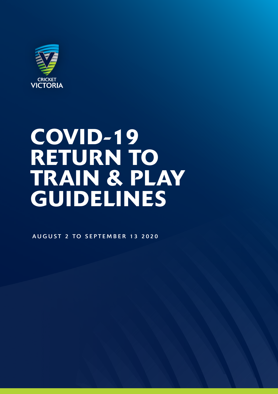

# COVID-19 RETURN TO TRAIN & PLAY GUIDELINES

AUGUST 2 TO SEPTEMBER 13 2020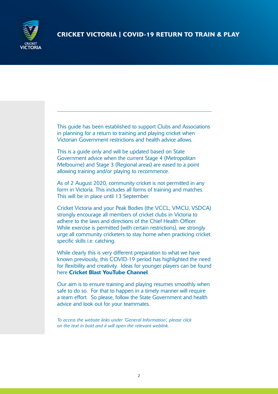

This guide has been established to support Clubs and Associations in planning for a return to training and playing cricket when Victorian Government restrictions and health advice allows.

This is a guide only and will be updated based on State Government advice when the current Stage 4 (Metropolitan Melbourne) and Stage 3 (Regional areas) are eased to a point allowing training and/or playing to recommence.

As of 2 August 2020, community cricket is not permitted in any form in Victoria. This includes all forms of training and matches. This will be in place until 13 September.

Cricket Victoria and your Peak Bodies (the VCCL, VMCU, VSDCA) strongly encourage all members of cricket clubs in Victoria to adhere to the laws and directions of the Chief Health Officer. While exercise is permitted (with certain restrictions), we strongly urge all community cricketers to stay home when practicing cricket specific skills i.e. catching.

While clearly this is very different preparation to what we have known previously, this COVID-19 period has highlighted the need for flexibility and creativity. Ideas for younger players can be found here [Cricket Blast YouTube Channel](https://www.youtube.com/c/CricketBlastAU/videos).

Our aim is to ensure training and playing resumes smoothly when safe to do so. For that to happen in a timely manner will require a team effort. So please, follow the State Government and health advice and look out for your teammates.

*To access the website links under 'General Information', please click on the text in bold and it will open the relevant weblink.*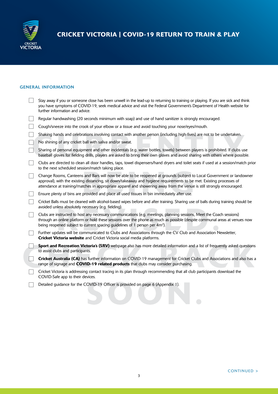

## GENERAL INFORMATION

| Stay away if you or someone close has been unwell in the lead-up to returning to training or playing. If you are sick and think<br>you have symptoms of COVID-19, seek medical advice and visit the Federal Government's Department of Health website for<br>further information and advice.                                                                          |
|-----------------------------------------------------------------------------------------------------------------------------------------------------------------------------------------------------------------------------------------------------------------------------------------------------------------------------------------------------------------------|
| Regular handwashing (20 seconds minimum with soap) and use of hand sanitizer is strongly encouraged.                                                                                                                                                                                                                                                                  |
| Cough/sneeze into the crook of your elbow or a tissue and avoid touching your nose/eyes/mouth.                                                                                                                                                                                                                                                                        |
| Shaking hands and celebrations involving contact with another person (including high-fives) are not to be undertaken.                                                                                                                                                                                                                                                 |
| No shining of any cricket ball with saliva and/or sweat.                                                                                                                                                                                                                                                                                                              |
| Sharing of personal equipment and other incidentals (e.g. water bottles, towels) between players is prohibited. If clubs use<br>baseball gloves for fielding drills, players are asked to bring their own gloves and avoid sharing with others where possible.                                                                                                        |
| Clubs are directed to clean all door handles, taps, towel dispensers/hand dryers and toilet seats if used at a session/match prior<br>to the next scheduled session/match taking place.                                                                                                                                                                               |
| Change Rooms, Canteens and Bars will now be able to be reopened at grounds (subject to Local Government or landowner<br>approval), with the existing distancing, sit down/takeaway and hygiene requirements to be met. Existing processes of<br>attendance at training/matches in appropriate apparel and showering away from the venue is still strongly encouraged. |
| Ensure plenty of bins are provided and place all used tissues in bin immediately after use.                                                                                                                                                                                                                                                                           |
| Cricket Balls must be cleaned with alcohol-based wipes before and after training. Sharing use of balls during training should be<br>avoided unless absolutely necessary (e.g. fielding).                                                                                                                                                                              |
| Clubs are instructed to host any necessary communications (e.g. meetings, planning sessions, Meet the Coach sessions)<br>through an online platform or hold these sessions over the phone as much as possible (despite communal areas at venues now<br>being reopened subject to current spacing guidelines of 1 person per 4m <sup>2</sup> ).                        |
| Further updates will be communicated to Clubs and Associations through the CV Club and Association Newsletter,<br>Cricket Victoria website and Cricket Victoria social media platforms.                                                                                                                                                                               |
| Sport and Recreation Victoria's (SRV) webpage also has more detailed information and a list of frequently asked questions<br>to assist clubs and participants.                                                                                                                                                                                                        |
| Cricket Australia (CA) has further information on COVID-19 management for Cricket Clubs and Associations and also has a<br>range of signage and COVID-19 related products that clubs may consider purchasing.                                                                                                                                                         |
| Cricket Victoria is addressing contact tracing in its plan through recommending that all club participants download the<br>COVID-Safe app to their devices.                                                                                                                                                                                                           |
| Detailed guidance for the COVID-19 Officer is provided on page 6 (Appendix 1).                                                                                                                                                                                                                                                                                        |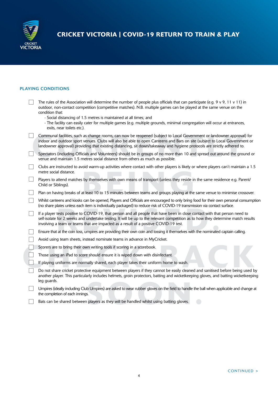

# PLAYING CONDITIONS

| The rules of the Association will determine the number of people plus officials that can participate (e.g. $9 \vee 9$ , 11 $\vee$ 11) in<br>outdoor, non-contact competition (competitive matches). N.B. multiple games can be played at the same venue on the<br>condition that:<br>- Social distancing of 1.5 metres is maintained at all times; and<br>- The facility can easily cater for multiple games (e.g. multiple grounds, minimal congregation will occur at entrances,<br>exits, near toilets etc.). |
|------------------------------------------------------------------------------------------------------------------------------------------------------------------------------------------------------------------------------------------------------------------------------------------------------------------------------------------------------------------------------------------------------------------------------------------------------------------------------------------------------------------|
| Communal facilities, such as change rooms, can now be reopened (subject to Local Government or landowner approval) for<br>indoor and outdoor sport venues. Clubs will also be able to open Canteens and Bars on site (subject to Local Government or<br>landowner approval) providing that existing distancing, sit down/takeaway and hygiene protocols are strictly adhered to.                                                                                                                                 |
| Spectators (including Officials and Volunteers) should be in groups of no more than 10 and spread out around the ground or<br>venue and maintain 1.5 metres social distance from others as much as possible.                                                                                                                                                                                                                                                                                                     |
| Clubs are instructed to avoid warm-up activities where contact with other players is likely or where players can't maintain a 1.5<br>metre social distance.                                                                                                                                                                                                                                                                                                                                                      |
| Players to attend matches by themselves with own means of transport (unless they reside in the same residence e.g. Parent/<br>Child or Siblings).                                                                                                                                                                                                                                                                                                                                                                |
| Plan on having breaks of at least 10 to 15 minutes between teams and groups playing at the same venue to minimise crossover.                                                                                                                                                                                                                                                                                                                                                                                     |
| Whilst canteens and kiosks can be opened, Players and Officials are encouraged to only bring food for their own personal consumption<br>(no share plates unless each item is individually packaged) to reduce risk of COVID-19 transmission via contact surface.                                                                                                                                                                                                                                                 |
| If a player tests positive to COVID-19, that person and all people that have been in close contact with that person need to<br>self-isolate for 2 weeks and undertake testing. It will be up to the relevant competition as to how they determine match results<br>involving a team or teams that are impacted as a result of a positive COVID-19 test.                                                                                                                                                          |
| Ensure that at the coin toss, umpires are providing their own coin and tossing it themselves with the nominated captain calling.                                                                                                                                                                                                                                                                                                                                                                                 |
| Avoid using team sheets, instead nominate teams in advance in MyCricket.                                                                                                                                                                                                                                                                                                                                                                                                                                         |
| Scorers are to bring their own writing tools if scoring in a scorebook.                                                                                                                                                                                                                                                                                                                                                                                                                                          |
| Those using an iPad to score should ensure it is wiped down with disinfectant.                                                                                                                                                                                                                                                                                                                                                                                                                                   |
| If playing uniforms are normally shared, each player takes their uniform home to wash.                                                                                                                                                                                                                                                                                                                                                                                                                           |
| Do not share cricket protective equipment between players if they cannot be easily cleaned and sanitised before being used by<br>another player. This particularly includes helmets, groin protectors, batting and wicketkeeping gloves, and batting wicketkeeping<br>leg guards.                                                                                                                                                                                                                                |
| Umpires (ideally including Club Umpires) are asked to wear rubber gloves on the field to handle the ball when applicable and change at<br>the completion of each innings.                                                                                                                                                                                                                                                                                                                                        |
| Bats can be shared between players as they will be handled whilst using batting gloves.                                                                                                                                                                                                                                                                                                                                                                                                                          |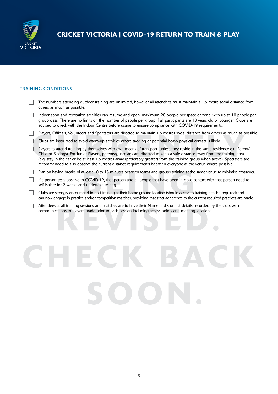

# TRAINING CONDITIONS

| The numbers attending outdoor training are unlimited, however all attendees must maintain a 1.5 metre social distance from<br>others as much as possible.                                                                                                                                                                                                                                                                                                                                                  |
|------------------------------------------------------------------------------------------------------------------------------------------------------------------------------------------------------------------------------------------------------------------------------------------------------------------------------------------------------------------------------------------------------------------------------------------------------------------------------------------------------------|
| Indoor sport and recreation activities can resume and open, maximum 20 people per space or zone, with up to 10 people per<br>group class. There are no limits on the number of people per group if all participants are 18 years old or younger. Clubs are<br>advised to check with the Indoor Centre before usage to ensure compliance with COVID-19 requirements.                                                                                                                                        |
| Players, Officials, Volunteers and Spectators are directed to maintain 1.5 metres social distance from others as much as possible.                                                                                                                                                                                                                                                                                                                                                                         |
| Clubs are instructed to avoid warm-up activities where tackling or potential heavy physical contact is likely.                                                                                                                                                                                                                                                                                                                                                                                             |
| Players to attend training by themselves with own means of transport (unless they reside in the same residence e.g. Parent/<br>Child or Siblings). For Junior Players, parents/guardians are directed to keep a safe distance away from the training area<br>(e.g. stay in the car or be at least 1.5 metres away (preferably greater) from the training group when active). Spectators are<br>recommended to also observe the current distance requirements between everyone at the venue where possible. |
| Plan on having breaks of at least 10 to 15 minutes between teams and groups training at the same venue to minimise crossover.                                                                                                                                                                                                                                                                                                                                                                              |
| If a person tests positive to COVID-19, that person and all people that have been in close contact with that person need to<br>self-isolate for 2 weeks and undertake testing.                                                                                                                                                                                                                                                                                                                             |
| Clubs are strongly encouraged to host training at their home ground location (should access to training nets be required) and<br>can now engage in practice and/or competition matches, providing that strict adherence to the current required practices are made.                                                                                                                                                                                                                                        |
| Attendees at all training sessions and matches are to have their Name and Contact details recorded by the club, with<br>communications to players made prior to each session including access points and meeting locations.                                                                                                                                                                                                                                                                                |
|                                                                                                                                                                                                                                                                                                                                                                                                                                                                                                            |
|                                                                                                                                                                                                                                                                                                                                                                                                                                                                                                            |